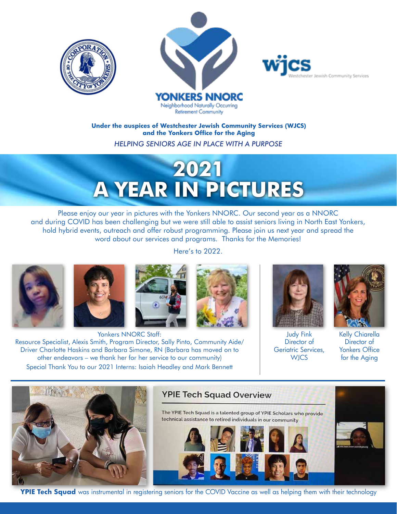





#### **Under the auspices of Westchester Jewish Community Services (WJCS) and the Yonkers Office for the Aging**

*HELPING SENIORS AGE IN PLACE WITH A PURPOSE*

# **2021 A YEAR IN PICTURES**

Please enjoy our year in pictures with the Yonkers NNORC. Our second year as a NNORC and during COVID has been challenging but we were still able to assist seniors living in North East Yonkers, hold hybrid events, outreach and offer robust programming. Please join us next year and spread the word about our services and programs. Thanks for the Memories!

Here's to 2022.









Yonkers NNORC Staff: Resource Specialist, Alexis Smith, Program Director, Sally Pinto, Community Aide/ Driver Charlotte Haskins and Barbara Simone, RN (Barbara has moved on to other endeavors – we thank her for her service to our community) Special Thank You to our 2021 Interns: Isaiah Headley and Mark Bennett



Judy Fink Director of Geriatric Services, **WICS** 



Kelly Chiarella Director of Yonkers Office for the Aging



# **YPIE Tech Squad Overview**

The YPIE Tech Squad is a talented group of YPIE Scholars who provide technical assistance to retired individuals in our community



**YPIE Tech Squad** was instrumental in registering seniors for the COVID Vaccine as well as helping them with their technology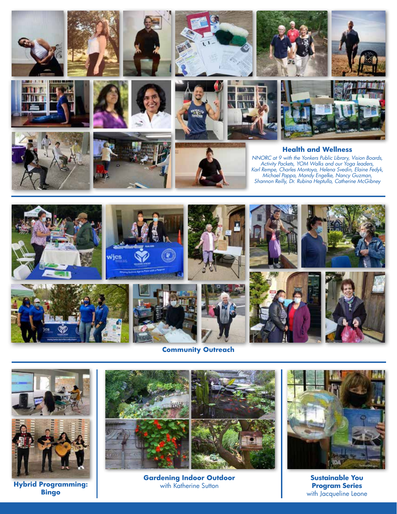





**Hybrid Programming: Bingo**











## **Health and Wellness**

*NNORC at 9 with the Yonkers Public Library, Vision Boards, Activity Packets, YOM Walks and our Yoga leaders, Karl Rempe, Charles Montoya, Helena Svedin, Elaine Fedyk, Michael Pappa, Mandy Engelke, Nancy Guzman, Shannon Reilly, Dr. Rubina Heptulla, Catherine McGibney*



## **Community Outreach**



**Gardening Indoor Outdoor**  with Katherine Sutton

**Sustainable You Program Series** with Jacqueline Leone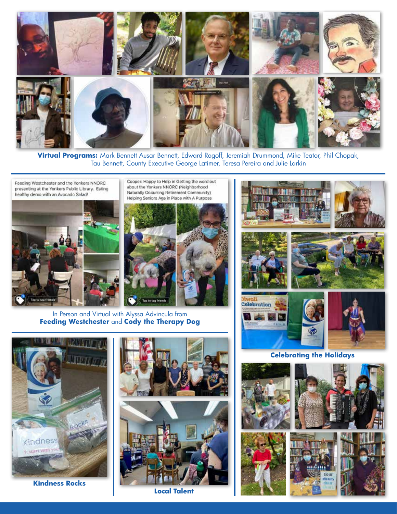

**Virtual Programs:** Mark Bennett Ausar Bennett, Edward Rogoff, Jeremiah Drummond, Mike Teator, Phil Chopak, Tau Bennett, County Executive George Latimer, Teresa Pereira and Julie Larkin

Feeding Westchester and the Yonkers NNORC presenting at the Yonkers Public Library. Eating healthy demo with an Avocado Salad!



Cooper: Happy to Help in Getting the word out about the Yonkers NNORC (Neighborhood Naturally Occurring Retirement Community) Helping Seniors Age in Place with A Purpose



In Person and Virtual with Alyssa Advincula from **Feeding Westchester** and **Cody the Therapy Dog**



**Celebrating the Holidays**









**Kindness Rocks**

**Local Talent**